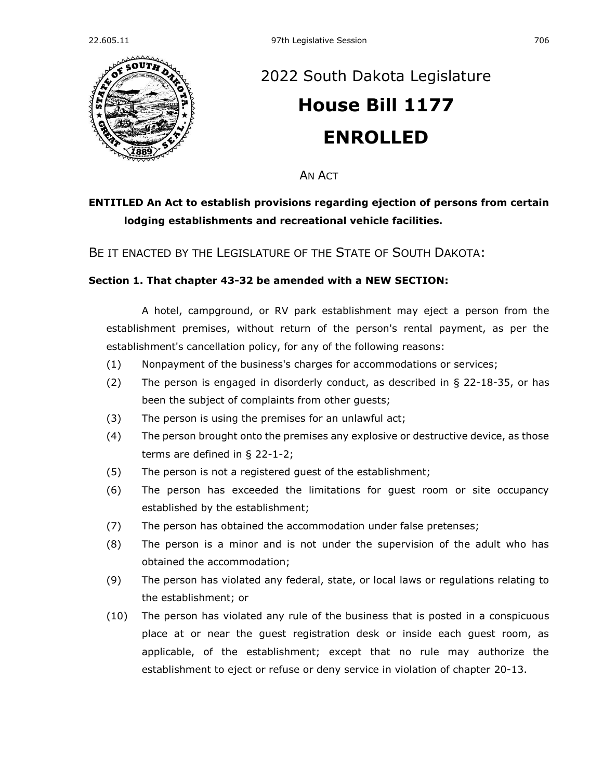

## [2022 South Dakota Legislature](https://sdlegislature.gov/Session/Bills/64) **[House Bill 1177](https://sdlegislature.gov/Session/Bill/23176) ENROLLED**

AN ACT

## **ENTITLED An Act to establish provisions regarding ejection of persons from certain lodging establishments and recreational vehicle facilities.**

BE IT ENACTED BY THE LEGISLATURE OF THE STATE OF SOUTH DAKOTA:

## **Section 1. That chapter [43-32](https://sdlegislature.gov/Statutes?Statute=43-32) be amended with a NEW SECTION:**

A hotel, campground, or RV park establishment may eject a person from the establishment premises, without return of the person's rental payment, as per the establishment's cancellation policy, for any of the following reasons:

- (1) Nonpayment of the business's charges for accommodations or services;
- (2) The person is engaged in disorderly conduct, as described in § [22-18-35,](https://sdlegislature.gov/Statutes?Statute=22-18-35) or has been the subject of complaints from other guests;
- (3) The person is using the premises for an unlawful act;
- (4) The person brought onto the premises any explosive or destructive device, as those terms are defined in § [22-1-2;](https://sdlegislature.gov/Statutes?Statute=22-1-2)
- (5) The person is not a registered guest of the establishment;
- (6) The person has exceeded the limitations for guest room or site occupancy established by the establishment;
- (7) The person has obtained the accommodation under false pretenses;
- (8) The person is a minor and is not under the supervision of the adult who has obtained the accommodation;
- (9) The person has violated any federal, state, or local laws or regulations relating to the establishment; or
- (10) The person has violated any rule of the business that is posted in a conspicuous place at or near the guest registration desk or inside each guest room, as applicable, of the establishment; except that no rule may authorize the establishment to eject or refuse or deny service in violation of chapter [20-13.](https://sdlegislature.gov/Statutes?Statute=20-13)